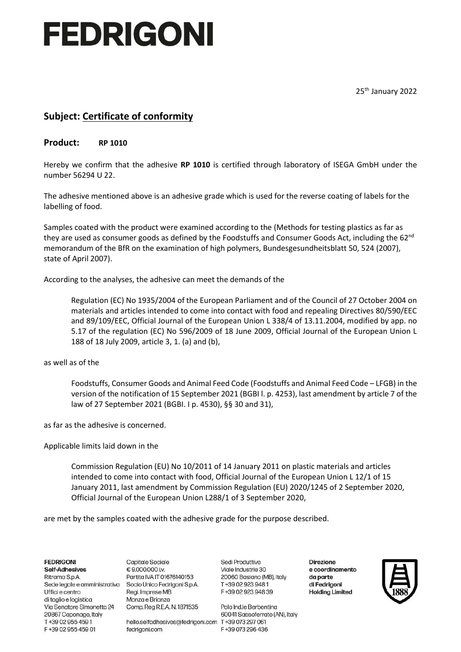# FEDRIGONI

25<sup>th</sup> January 2022

### **Subject: Certificate of conformity**

### **Product: RP 1010**

Hereby we confirm that the adhesive **RP 1010** is certified through laboratory of ISEGA GmbH under the number 56294 U 22.

The adhesive mentioned above is an adhesive grade which is used for the reverse coating of labels for the labelling of food.

Samples coated with the product were examined according to the (Methods for testing plastics as far as they are used as consumer goods as defined by the Foodstuffs and Consumer Goods Act, including the  $62<sup>nd</sup>$ memorandum of the BfR on the examination of high polymers, Bundesgesundheitsblatt 50, 524 (2007), state of April 2007).

According to the analyses, the adhesive can meet the demands of the

Regulation (EC) No 1935/2004 of the European Parliament and of the Council of 27 October 2004 on materials and articles intended to come into contact with food and repealing Directives 80/590/EEC and 89/109/EEC, Official Journal of the European Union L 338/4 of 13.11.2004, modified by app. no 5.17 of the regulation (EC) No 596/2009 of 18 June 2009, Official Journal of the European Union L 188 of 18 July 2009, article 3, 1. (a) and (b),

as well as of the

Foodstuffs, Consumer Goods and Animal Feed Code (Foodstuffs and Animal Feed Code – LFGB) in the version of the notification of 15 September 2021 (BGBI l. p. 4253), last amendment by article 7 of the law of 27 September 2021 (BGBI. I p. 4530), §§ 30 and 31),

as far as the adhesive is concerned.

#### Applicable limits laid down in the

Commission Regulation (EU) No 10/2011 of 14 January 2011 on plastic materials and articles intended to come into contact with food, Official Journal of the European Union L 12/1 of 15 January 2011, last amendment by Commission Regulation (EU) 2020/1245 of 2 September 2020, Official Journal of the European Union L288/1 of 3 September 2020,

are met by the samples coated with the adhesive grade for the purpose described.

**FEDRIGONI Self-Adhesives** Ritrama S.p.A. Sede legale e amministrativa Socio Unico Fedrigoni S.p.A. Uffici e centro di taglio e logistica Via Senatore Simonetta 24 20867 Caponago, Italy T+39 02 955 4591 F+39 02 955 459 01

**Capitale Sociale** € 9.000.000 i.v. Partita IVA IT 01676140153 Regi. Imprese MB Monza e Brianza Comp. Reg R.E.A. N. 1871535

hello.selfadhesives@fedrigoni.com T +39 073 297 061 fedrigoni.com

Sedi Produttive Viale Industrie 30 20060 Basiano (MB), Italy T+39 02 923 948 1 F+39 02 923 948 39

Polo Ind.le Berbenting 60041 Sassoferrato (AN), Italy F+39 073 296 436

**Direzione** e coordinamento da parte di Fedrigoni **Holding Limited**